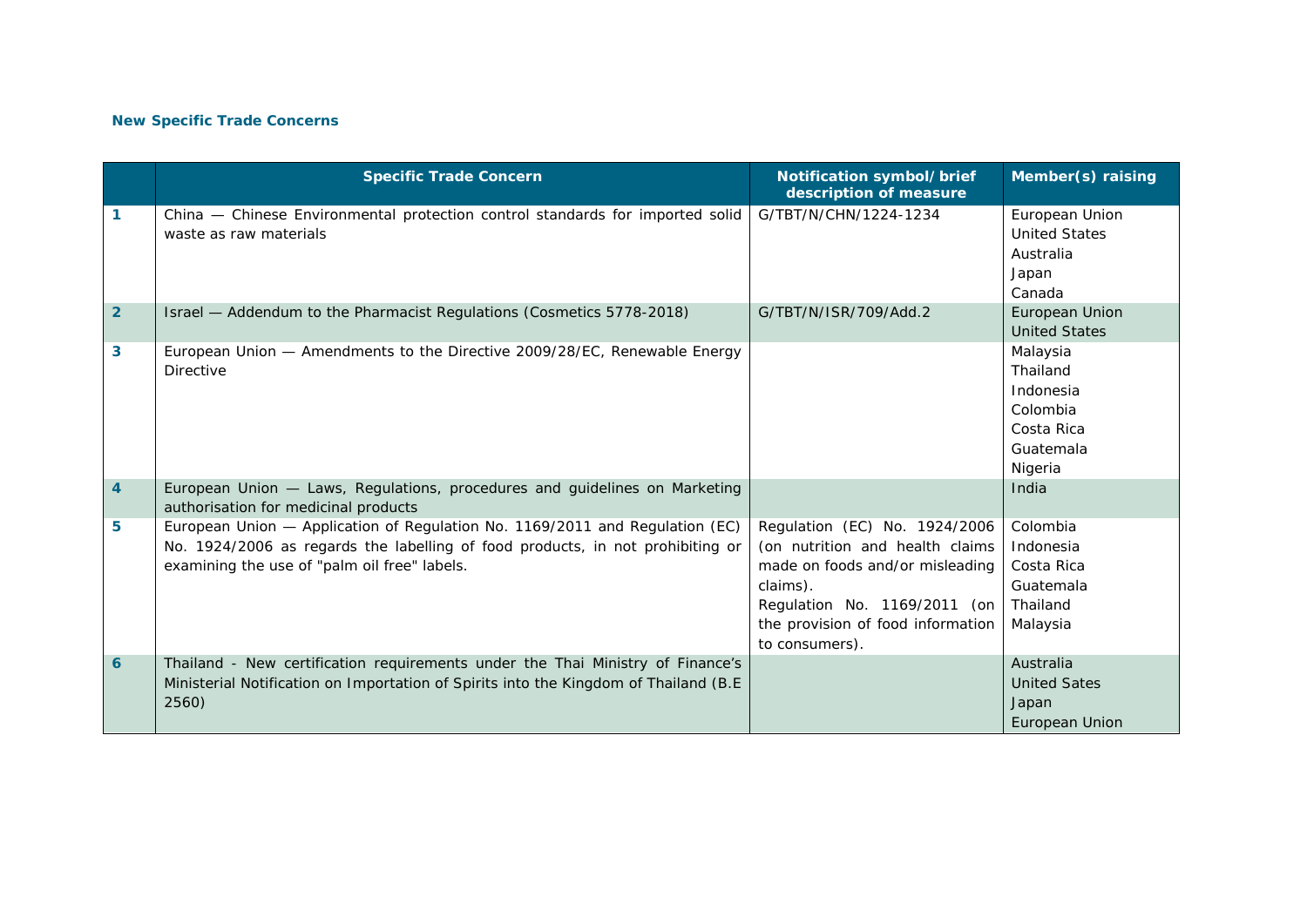## **New Specific Trade Concerns**

|                | <b>Specific Trade Concern</b>                                                                                                                                                                                  | Notification symbol/brief<br>description of measure                                                                                                                                                    | Member(s) raising                                                                   |
|----------------|----------------------------------------------------------------------------------------------------------------------------------------------------------------------------------------------------------------|--------------------------------------------------------------------------------------------------------------------------------------------------------------------------------------------------------|-------------------------------------------------------------------------------------|
| 1              | China - Chinese Environmental protection control standards for imported solid<br>waste as raw materials                                                                                                        | G/TBT/N/CHN/1224-1234                                                                                                                                                                                  | European Union<br><b>United States</b><br>Australia<br>Japan<br>Canada              |
| $\overline{2}$ | Israel - Addendum to the Pharmacist Regulations (Cosmetics 5778-2018)                                                                                                                                          | G/TBT/N/ISR/709/Add.2                                                                                                                                                                                  | European Union<br><b>United States</b>                                              |
| 3              | European Union - Amendments to the Directive 2009/28/EC, Renewable Energy<br><b>Directive</b>                                                                                                                  |                                                                                                                                                                                                        | Malaysia<br>Thailand<br>Indonesia<br>Colombia<br>Costa Rica<br>Guatemala<br>Nigeria |
| 4              | European Union - Laws, Regulations, procedures and guidelines on Marketing<br>authorisation for medicinal products                                                                                             |                                                                                                                                                                                                        | India                                                                               |
| 5              | European Union - Application of Regulation No. 1169/2011 and Regulation (EC)<br>No. 1924/2006 as regards the labelling of food products, in not prohibiting or<br>examining the use of "palm oil free" labels. | Regulation (EC) No. 1924/2006<br>(on nutrition and health claims<br>made on foods and/or misleading<br>claims).<br>Regulation No. 1169/2011 (on<br>the provision of food information<br>to consumers). | Colombia<br>Indonesia<br>Costa Rica<br>Guatemala<br>Thailand<br>Malaysia            |
| 6              | Thailand - New certification requirements under the Thai Ministry of Finance's<br>Ministerial Notification on Importation of Spirits into the Kingdom of Thailand (B.E)<br>2560)                               |                                                                                                                                                                                                        | Australia<br><b>United Sates</b><br>Japan<br>European Union                         |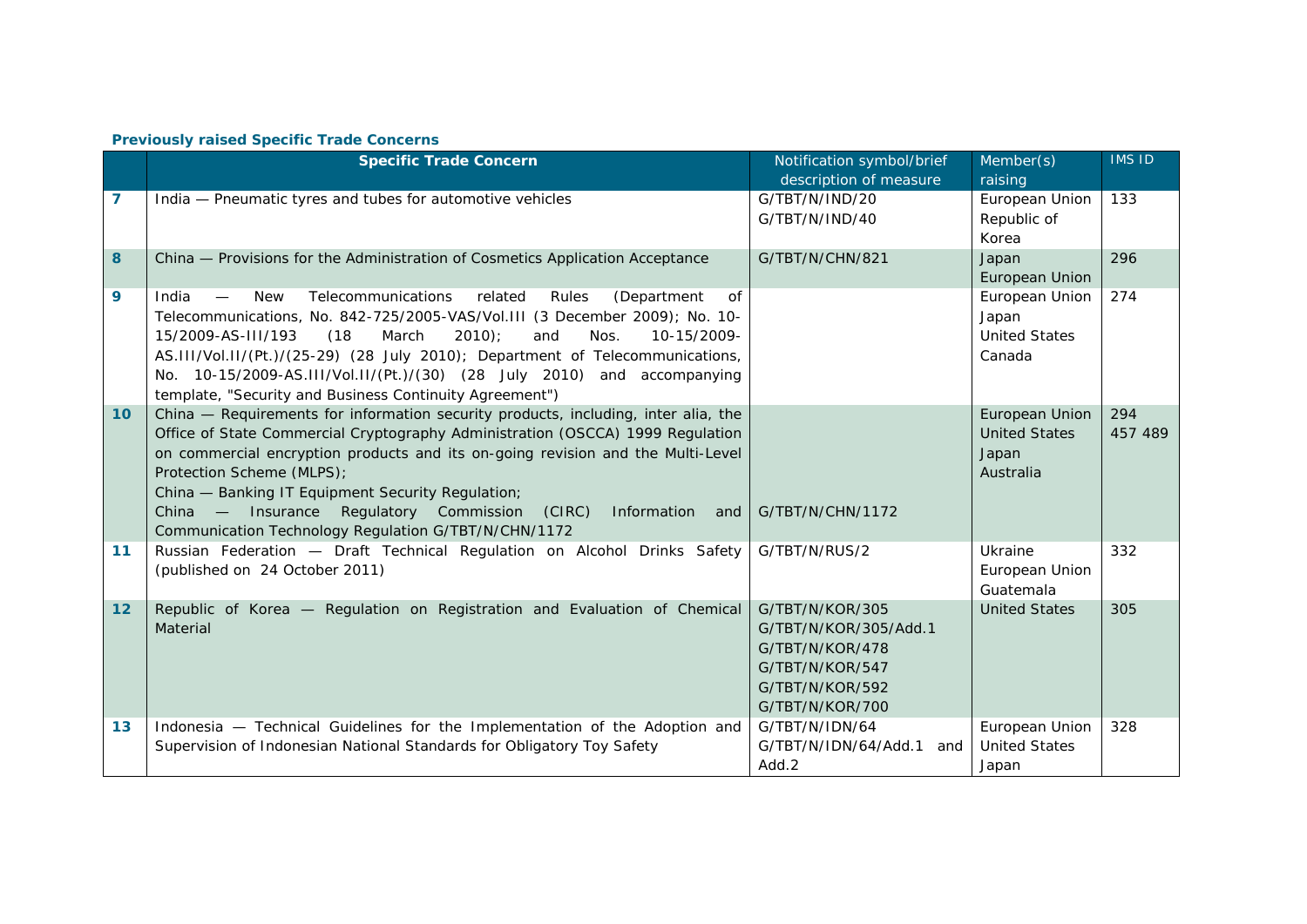## **Previously raised Specific Trade Concerns**

|    | <b>Specific Trade Concern</b>                                                                                                                                                                                                                                                                                                                                                                                                                                                   | Notification symbol/brief<br>description of measure                                                                  | Member(s)<br>raising                                         | <b>IMS ID</b>  |
|----|---------------------------------------------------------------------------------------------------------------------------------------------------------------------------------------------------------------------------------------------------------------------------------------------------------------------------------------------------------------------------------------------------------------------------------------------------------------------------------|----------------------------------------------------------------------------------------------------------------------|--------------------------------------------------------------|----------------|
| 7  | India - Pneumatic tyres and tubes for automotive vehicles                                                                                                                                                                                                                                                                                                                                                                                                                       | G/TBT/N/IND/20<br>G/TBT/N/IND/40                                                                                     | European Union<br>Republic of<br>Korea                       | 133            |
| 8  | China - Provisions for the Administration of Cosmetics Application Acceptance                                                                                                                                                                                                                                                                                                                                                                                                   | G/TBT/N/CHN/821                                                                                                      | Japan<br>European Union                                      | 296            |
| 9  | Telecommunications<br>related<br>India<br><b>New</b><br>Rules<br>(Department<br>0f<br>Telecommunications, No. 842-725/2005-VAS/Vol.III (3 December 2009); No. 10-<br>$2010$ :<br>15/2009-AS-III/193<br>(18)<br>March<br>10-15/2009-<br>and<br>Nos.<br>AS.III/Vol.II/(Pt.)/(25-29) (28 July 2010); Department of Telecommunications,<br>No. 10-15/2009-AS.III/Vol.II/(Pt.)/(30) (28 July 2010) and accompanying<br>template, "Security and Business Continuity Agreement")       |                                                                                                                      | European Union<br>Japan<br><b>United States</b><br>Canada    | 274            |
| 10 | China - Requirements for information security products, including, inter alia, the<br>Office of State Commercial Cryptography Administration (OSCCA) 1999 Regulation<br>on commercial encryption products and its on-going revision and the Multi-Level<br>Protection Scheme (MLPS);<br>China - Banking IT Equipment Security Regulation;<br>China — Insurance<br>Regulatory Commission<br>(CIRC)<br>Information<br>and<br>Communication Technology Regulation G/TBT/N/CHN/1172 | G/TBT/N/CHN/1172                                                                                                     | European Union<br><b>United States</b><br>Japan<br>Australia | 294<br>457 489 |
| 11 | Russian Federation - Draft Technical Regulation on Alcohol Drinks Safety<br>(published on 24 October 2011)                                                                                                                                                                                                                                                                                                                                                                      | G/TBT/N/RUS/2                                                                                                        | Ukraine<br>European Union<br>Guatemala                       | 332            |
| 12 | Republic of Korea - Regulation on Registration and Evaluation of Chemical<br>Material                                                                                                                                                                                                                                                                                                                                                                                           | G/TBT/N/KOR/305<br>G/TBT/N/KOR/305/Add.1<br>G/TBT/N/KOR/478<br>G/TBT/N/KOR/547<br>G/TBT/N/KOR/592<br>G/TBT/N/KOR/700 | <b>United States</b>                                         | 305            |
| 13 | Indonesia - Technical Guidelines for the Implementation of the Adoption and<br>Supervision of Indonesian National Standards for Obligatory Toy Safety                                                                                                                                                                                                                                                                                                                           | G/TBT/N/IDN/64<br>G/TBT/N/IDN/64/Add.1<br>and<br>Add.2                                                               | European Union<br><b>United States</b><br>Japan              | 328            |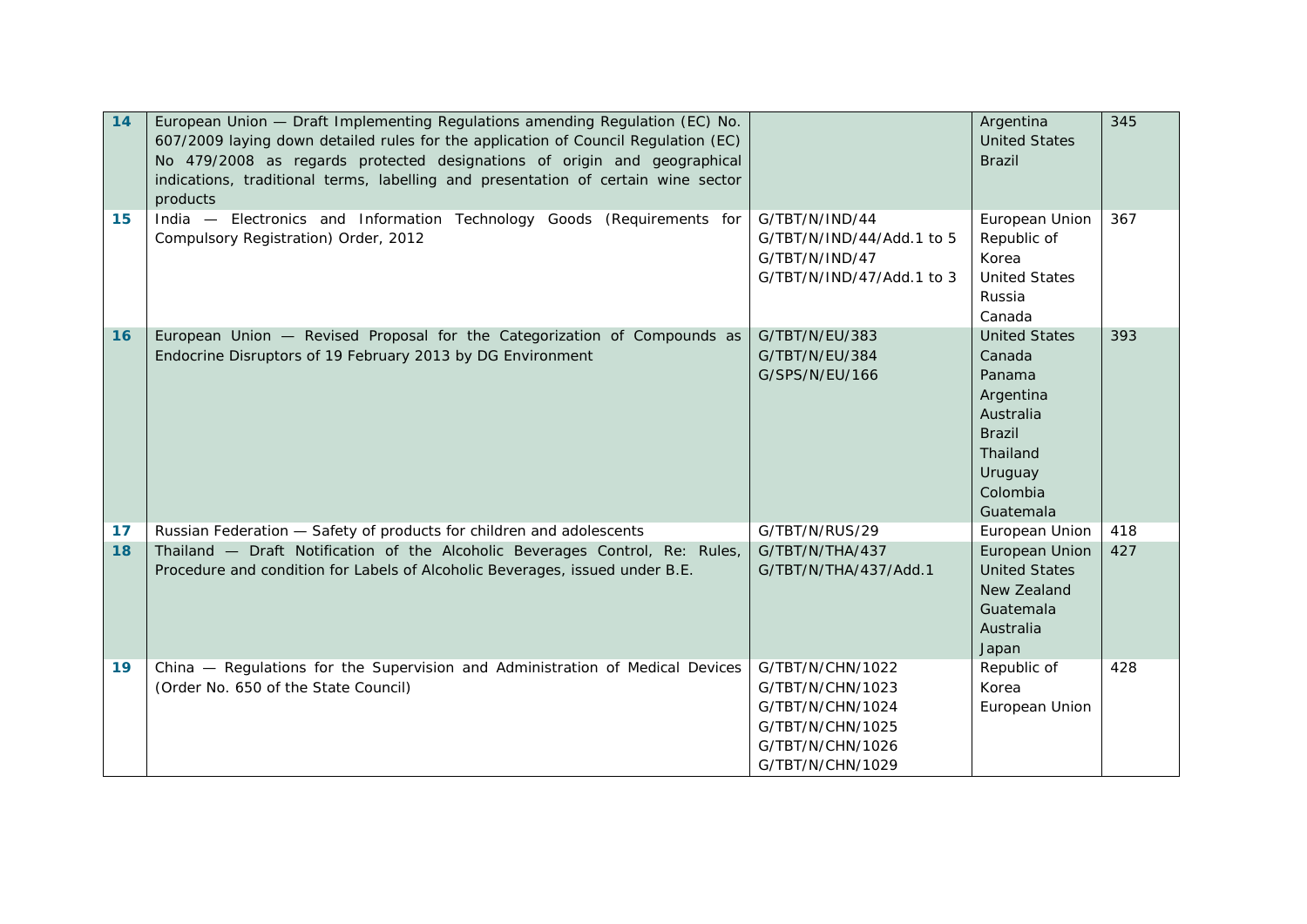| 14 | European Union - Draft Implementing Regulations amending Regulation (EC) No.<br>607/2009 laying down detailed rules for the application of Council Regulation (EC)<br>No 479/2008 as regards protected designations of origin and geographical<br>indications, traditional terms, labelling and presentation of certain wine sector<br>products |                                                                                                                      | Argentina<br><b>United States</b><br><b>Brazil</b>                                                                                  | 345 |
|----|-------------------------------------------------------------------------------------------------------------------------------------------------------------------------------------------------------------------------------------------------------------------------------------------------------------------------------------------------|----------------------------------------------------------------------------------------------------------------------|-------------------------------------------------------------------------------------------------------------------------------------|-----|
| 15 | India - Electronics and Information Technology Goods (Requirements for<br>Compulsory Registration) Order, 2012                                                                                                                                                                                                                                  | G/TBT/N/IND/44<br>G/TBT/N/IND/44/Add.1 to 5<br>G/TBT/N/IND/47<br>G/TBT/N/IND/47/Add.1 to 3                           | European Union<br>Republic of<br>Korea<br><b>United States</b><br>Russia<br>Canada                                                  | 367 |
| 16 | European Union - Revised Proposal for the Categorization of Compounds as<br>Endocrine Disruptors of 19 February 2013 by DG Environment                                                                                                                                                                                                          | G/TBT/N/EU/383<br>G/TBT/N/EU/384<br>G/SPS/N/EU/166                                                                   | <b>United States</b><br>Canada<br>Panama<br>Argentina<br>Australia<br><b>Brazil</b><br>Thailand<br>Uruguay<br>Colombia<br>Guatemala | 393 |
| 17 | Russian Federation - Safety of products for children and adolescents                                                                                                                                                                                                                                                                            | G/TBT/N/RUS/29                                                                                                       | European Union                                                                                                                      | 418 |
| 18 | Thailand - Draft Notification of the Alcoholic Beverages Control, Re: Rules,<br>Procedure and condition for Labels of Alcoholic Beverages, issued under B.E.                                                                                                                                                                                    | G/TBT/N/THA/437<br>G/TBT/N/THA/437/Add.1                                                                             | European Union<br><b>United States</b><br>New Zealand<br>Guatemala<br>Australia<br>Japan                                            | 427 |
| 19 | China - Regulations for the Supervision and Administration of Medical Devices<br>(Order No. 650 of the State Council)                                                                                                                                                                                                                           | G/TBT/N/CHN/1022<br>G/TBT/N/CHN/1023<br>G/TBT/N/CHN/1024<br>G/TBT/N/CHN/1025<br>G/TBT/N/CHN/1026<br>G/TBT/N/CHN/1029 | Republic of<br>Korea<br>European Union                                                                                              | 428 |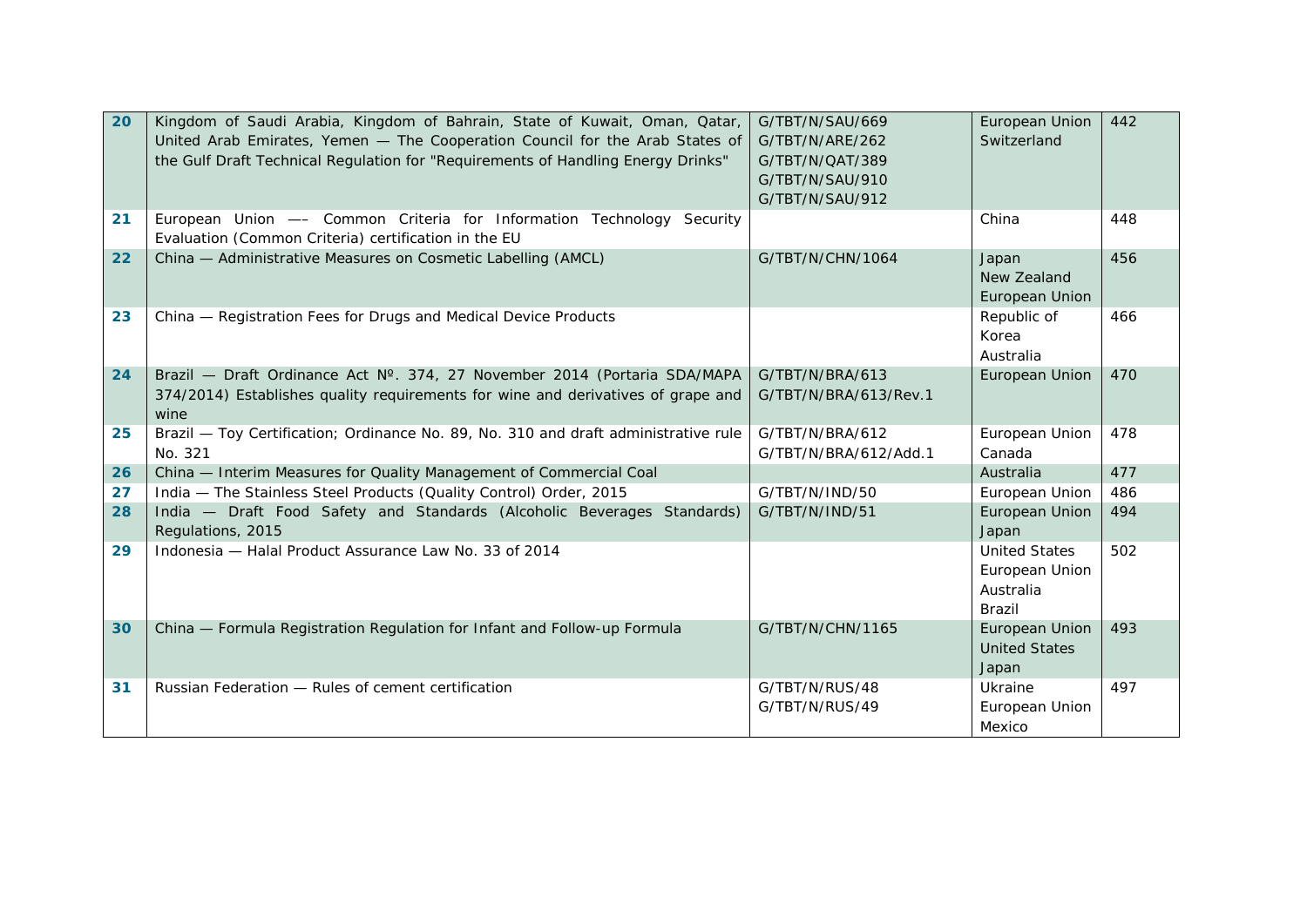| 20 | Kingdom of Saudi Arabia, Kingdom of Bahrain, State of Kuwait, Oman, Qatar,<br>United Arab Emirates, Yemen - The Cooperation Council for the Arab States of<br>the Gulf Draft Technical Regulation for "Requirements of Handling Energy Drinks" | G/TBT/N/SAU/669<br>G/TBT/N/ARE/262<br>G/TBT/N/QAT/389<br>G/TBT/N/SAU/910<br>G/TBT/N/SAU/912 | European Union<br>Switzerland                                        | 442 |
|----|------------------------------------------------------------------------------------------------------------------------------------------------------------------------------------------------------------------------------------------------|---------------------------------------------------------------------------------------------|----------------------------------------------------------------------|-----|
| 21 | European Union - Common Criteria for Information Technology Security<br>Evaluation (Common Criteria) certification in the EU                                                                                                                   |                                                                                             | China                                                                | 448 |
| 22 | China - Administrative Measures on Cosmetic Labelling (AMCL)                                                                                                                                                                                   | G/TBT/N/CHN/1064                                                                            | Japan<br>New Zealand<br>European Union                               | 456 |
| 23 | China - Registration Fees for Drugs and Medical Device Products                                                                                                                                                                                |                                                                                             | Republic of<br>Korea<br>Australia                                    | 466 |
| 24 | Brazil - Draft Ordinance Act N° 374, 27 November 2014 (Portaria SDA/MAPA<br>374/2014) Establishes quality requirements for wine and derivatives of grape and<br>wine                                                                           | G/TBT/N/BRA/613<br>G/TBT/N/BRA/613/Rev.1                                                    | European Union                                                       | 470 |
| 25 | Brazil - Toy Certification; Ordinance No. 89, No. 310 and draft administrative rule<br>No. 321                                                                                                                                                 | G/TBT/N/BRA/612<br>G/TBT/N/BRA/612/Add.1                                                    | European Union<br>Canada                                             | 478 |
| 26 | China - Interim Measures for Quality Management of Commercial Coal                                                                                                                                                                             |                                                                                             | Australia                                                            | 477 |
| 27 | India - The Stainless Steel Products (Quality Control) Order, 2015                                                                                                                                                                             | G/TBT/N/IND/50                                                                              | European Union                                                       | 486 |
| 28 | India - Draft Food Safety and Standards (Alcoholic Beverages Standards)<br>Regulations, 2015                                                                                                                                                   | G/TBT/N/IND/51                                                                              | European Union<br>Japan                                              | 494 |
| 29 | Indonesia - Halal Product Assurance Law No. 33 of 2014                                                                                                                                                                                         |                                                                                             | <b>United States</b><br>European Union<br>Australia<br><b>Brazil</b> | 502 |
| 30 | China - Formula Registration Regulation for Infant and Follow-up Formula                                                                                                                                                                       | G/TBT/N/CHN/1165                                                                            | European Union<br><b>United States</b><br>Japan                      | 493 |
| 31 | Russian Federation - Rules of cement certification                                                                                                                                                                                             | G/TBT/N/RUS/48<br>G/TBT/N/RUS/49                                                            | Ukraine<br>European Union<br>Mexico                                  | 497 |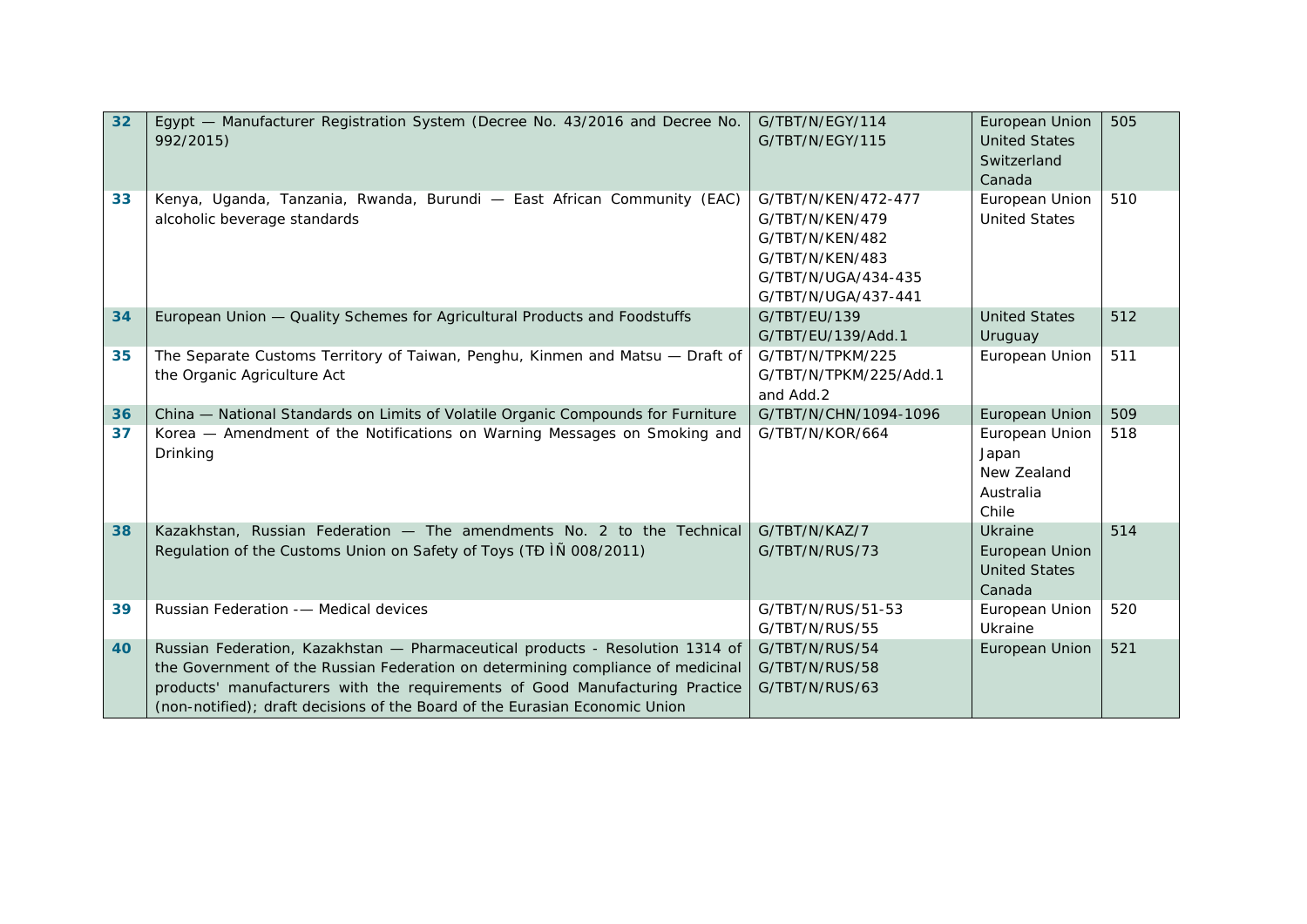| 32 | Egypt - Manufacturer Registration System (Decree No. 43/2016 and Decree No.<br>992/2015)                                                                                                                                                                                                                                        | G/TBT/N/EGY/114<br>G/TBT/N/EGY/115                                                                                         | European Union<br><b>United States</b><br>Switzerland<br>Canada | 505 |
|----|---------------------------------------------------------------------------------------------------------------------------------------------------------------------------------------------------------------------------------------------------------------------------------------------------------------------------------|----------------------------------------------------------------------------------------------------------------------------|-----------------------------------------------------------------|-----|
| 33 | Kenya, Uganda, Tanzania, Rwanda, Burundi - East African Community (EAC)<br>alcoholic beverage standards                                                                                                                                                                                                                         | G/TBT/N/KEN/472-477<br>G/TBT/N/KEN/479<br>G/TBT/N/KEN/482<br>G/TBT/N/KEN/483<br>G/TBT/N/UGA/434-435<br>G/TBT/N/UGA/437-441 | European Union<br><b>United States</b>                          | 510 |
| 34 | European Union - Quality Schemes for Agricultural Products and Foodstuffs                                                                                                                                                                                                                                                       | G/TBT/EU/139<br>G/TBT/EU/139/Add.1                                                                                         | <b>United States</b><br>Uruguay                                 | 512 |
| 35 | The Separate Customs Territory of Taiwan, Penghu, Kinmen and Matsu - Draft of<br>the Organic Agriculture Act                                                                                                                                                                                                                    | G/TBT/N/TPKM/225<br>G/TBT/N/TPKM/225/Add.1<br>and Add.2                                                                    | European Union                                                  | 511 |
| 36 | China - National Standards on Limits of Volatile Organic Compounds for Furniture                                                                                                                                                                                                                                                | G/TBT/N/CHN/1094-1096                                                                                                      | European Union                                                  | 509 |
| 37 | Korea - Amendment of the Notifications on Warning Messages on Smoking and<br>Drinking                                                                                                                                                                                                                                           | G/TBT/N/KOR/664                                                                                                            | European Union<br>Japan<br>New Zealand<br>Australia<br>Chile    | 518 |
| 38 | Kazakhstan, Russian Federation - The amendments No. 2 to the Technical<br>Regulation of the Customs Union on Safety of Toys (TĐ IÑ 008/2011)                                                                                                                                                                                    | G/TBT/N/KAZ/7<br>G/TBT/N/RUS/73                                                                                            | Ukraine<br>European Union<br><b>United States</b><br>Canada     | 514 |
| 39 | Russian Federation -- Medical devices                                                                                                                                                                                                                                                                                           | G/TBT/N/RUS/51-53<br>G/TBT/N/RUS/55                                                                                        | European Union<br>Ukraine                                       | 520 |
| 40 | Russian Federation, Kazakhstan - Pharmaceutical products - Resolution 1314 of<br>the Government of the Russian Federation on determining compliance of medicinal<br>products' manufacturers with the requirements of Good Manufacturing Practice<br>(non-notified); draft decisions of the Board of the Eurasian Economic Union | G/TBT/N/RUS/54<br>G/TBT/N/RUS/58<br>G/TBT/N/RUS/63                                                                         | European Union                                                  | 521 |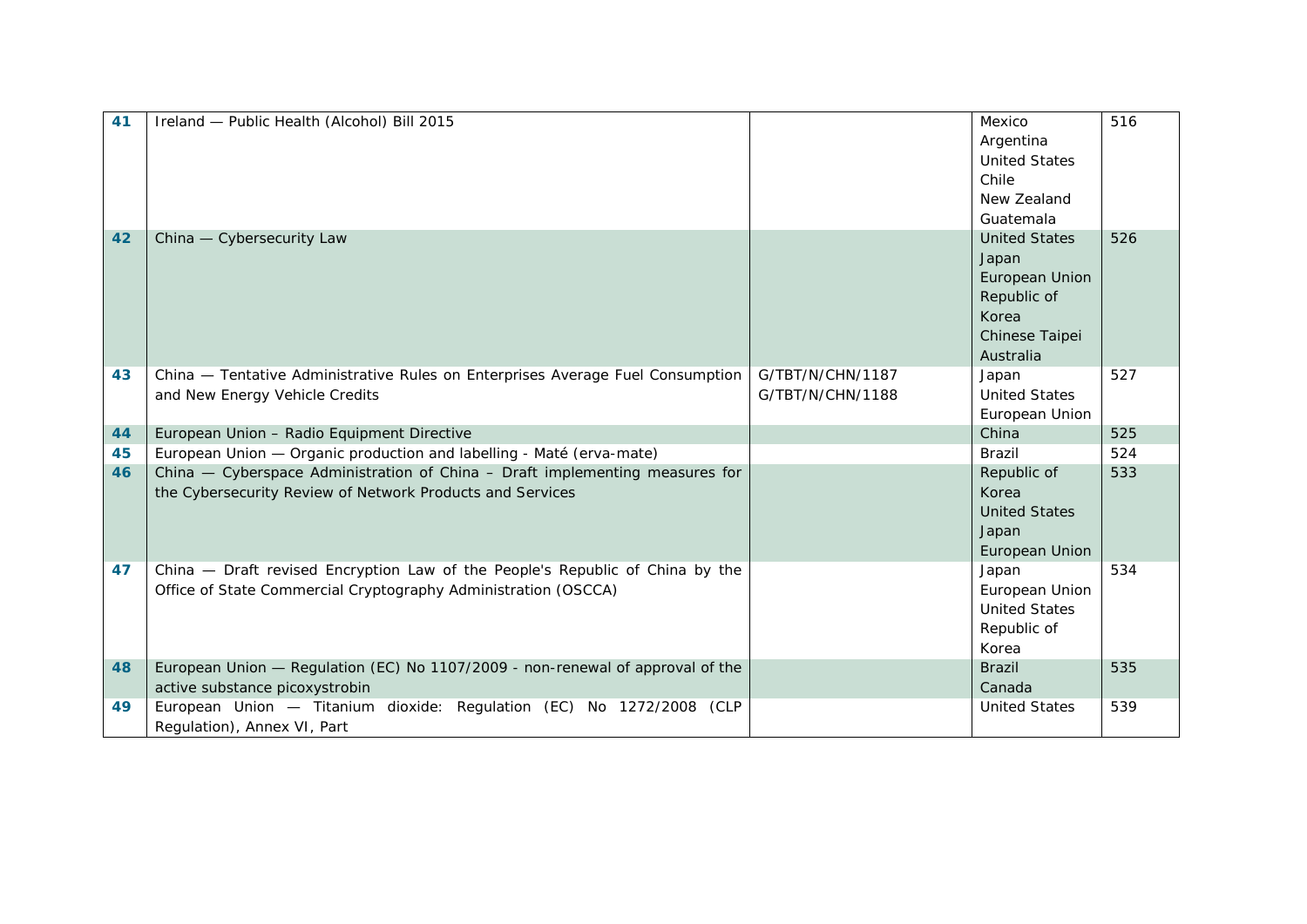| 41 | Ireland - Public Health (Alcohol) Bill 2015                                    |                  | Mexico                  | $\overline{516}$ |
|----|--------------------------------------------------------------------------------|------------------|-------------------------|------------------|
|    |                                                                                |                  | Argentina               |                  |
|    |                                                                                |                  | <b>United States</b>    |                  |
|    |                                                                                |                  | Chile                   |                  |
|    |                                                                                |                  | New Zealand             |                  |
|    |                                                                                |                  | Guatemala               |                  |
| 42 | China - Cybersecurity Law                                                      |                  | <b>United States</b>    | 526              |
|    |                                                                                |                  | Japan                   |                  |
|    |                                                                                |                  | European Union          |                  |
|    |                                                                                |                  | Republic of             |                  |
|    |                                                                                |                  | Korea                   |                  |
|    |                                                                                |                  | Chinese Taipei          |                  |
|    |                                                                                |                  | Australia               |                  |
| 43 | China - Tentative Administrative Rules on Enterprises Average Fuel Consumption | G/TBT/N/CHN/1187 | Japan                   | 527              |
|    | and New Energy Vehicle Credits                                                 | G/TBT/N/CHN/1188 | <b>United States</b>    |                  |
|    |                                                                                |                  | European Union          |                  |
| 44 | European Union - Radio Equipment Directive                                     |                  | China                   | 525              |
| 45 | European Union - Organic production and labelling - Maté (erva-mate)           |                  | Brazil                  | 524              |
| 46 | China - Cyberspace Administration of China - Draft implementing measures for   |                  | Republic of             | 533              |
|    | the Cybersecurity Review of Network Products and Services                      |                  | Korea                   |                  |
|    |                                                                                |                  | <b>United States</b>    |                  |
|    |                                                                                |                  | Japan                   |                  |
| 47 | China - Draft revised Encryption Law of the People's Republic of China by the  |                  | European Union          | 534              |
|    | Office of State Commercial Cryptography Administration (OSCCA)                 |                  | Japan<br>European Union |                  |
|    |                                                                                |                  | <b>United States</b>    |                  |
|    |                                                                                |                  | Republic of             |                  |
|    |                                                                                |                  | Korea                   |                  |
| 48 | European Union — Regulation (EC) No 1107/2009 - non-renewal of approval of the |                  | <b>Brazil</b>           | 535              |
|    | active substance picoxystrobin                                                 |                  | Canada                  |                  |
| 49 | European Union - Titanium dioxide: Regulation (EC) No 1272/2008 (CLP           |                  | <b>United States</b>    | 539              |
|    | Regulation), Annex VI, Part                                                    |                  |                         |                  |